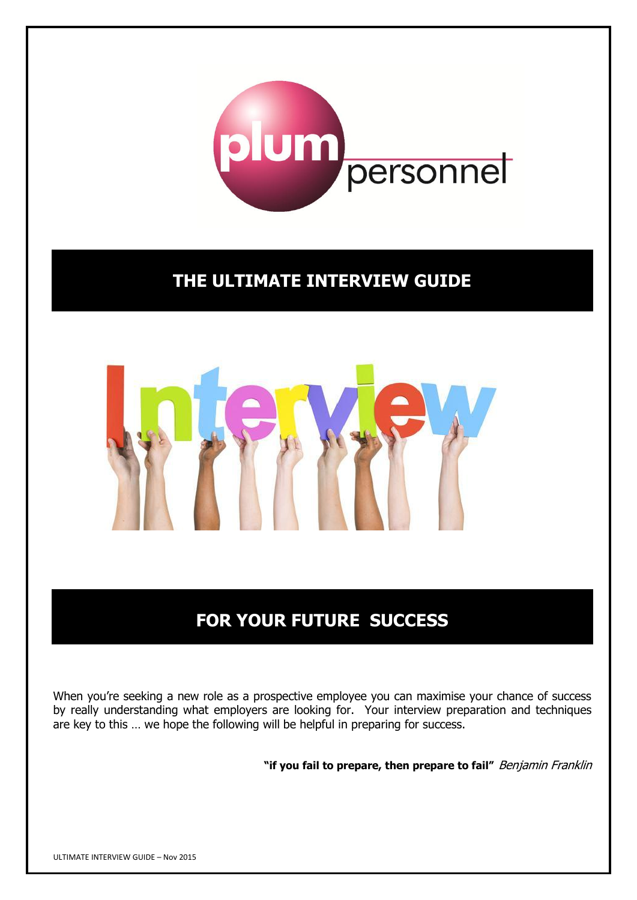

# **THE ULTIMATE INTERVIEW GUIDE**



# **FOR YOUR FUTURE SUCCESS**

When you're seeking a new role as a prospective employee you can maximise your chance of success by really understanding what employers are looking for. Your interview preparation and techniques are key to this … we hope the following will be helpful in preparing for success.

**"if you fail to prepare, then prepare to fail"** Benjamin Franklin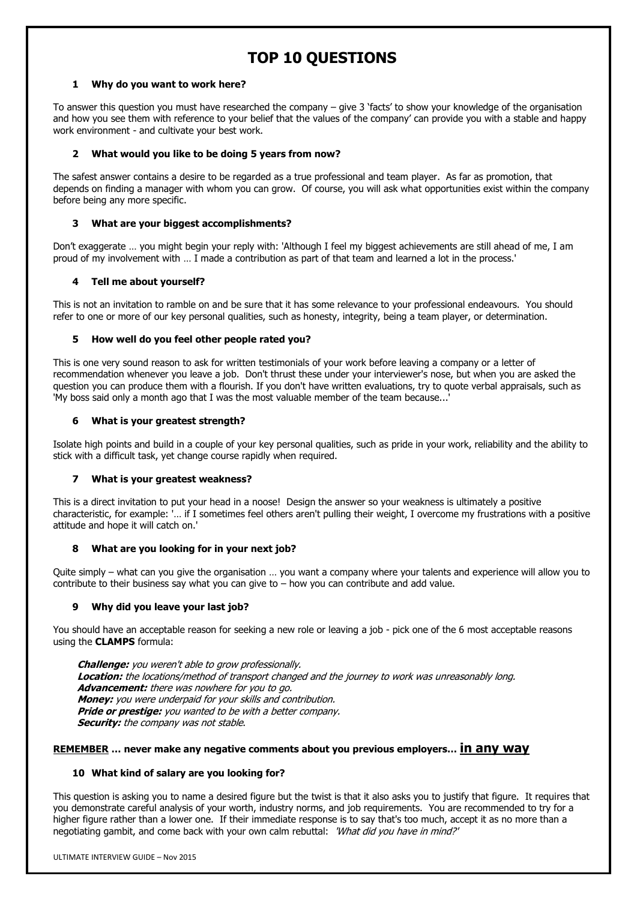## **TOP 10 QUESTIONS**

### **1 Why do you want to work here?**

To answer this question you must have researched the company – give 3 'facts' to show your knowledge of the organisation and how you see them with reference to your belief that the values of the company' can provide you with a stable and happy work environment - and cultivate your best work.

### **2 What would you like to be doing 5 years from now?**

The safest answer contains a desire to be regarded as a true professional and team player. As far as promotion, that depends on finding a manager with whom you can grow. Of course, you will ask what opportunities exist within the company before being any more specific.

### **3 What are your biggest accomplishments?**

Don't exaggerate … you might begin your reply with: 'Although I feel my biggest achievements are still ahead of me, I am proud of my involvement with … I made a contribution as part of that team and learned a lot in the process.'

### **4 Tell me about yourself?**

This is not an invitation to ramble on and be sure that it has some relevance to your professional endeavours. You should refer to one or more of our key personal qualities, such as honesty, integrity, being a team player, or determination.

### **5 How well do you feel other people rated you?**

This is one very sound reason to ask for written testimonials of your work before leaving a company or a letter of recommendation whenever you leave a job. Don't thrust these under your interviewer's nose, but when you are asked the question you can produce them with a flourish. If you don't have written evaluations, try to quote verbal appraisals, such as 'My boss said only a month ago that I was the most valuable member of the team because...'

### **6 What is your greatest strength?**

Isolate high points and build in a couple of your key personal qualities, such as pride in your work, reliability and the ability to stick with a difficult task, yet change course rapidly when required.

### **7 What is your greatest weakness?**

This is a direct invitation to put your head in a noose! Design the answer so your weakness is ultimately a positive characteristic, for example: '… if I sometimes feel others aren't pulling their weight, I overcome my frustrations with a positive attitude and hope it will catch on.'

### **8 What are you looking for in your next job?**

Quite simply – what can you give the organisation … you want a company where your talents and experience will allow you to contribute to their business say what you can give to  $-$  how you can contribute and add value.

### **9 Why did you leave your last job?**

You should have an acceptable reason for seeking a new role or leaving a job - pick one of the 6 most acceptable reasons using the **CLAMPS** formula:

 **Challenge:** you weren't able to grow professionally. **Location:** the locations/method of transport changed and the journey to work was unreasonably long. **Advancement:** there was nowhere for you to go. **Money:** you were underpaid for your skills and contribution. **Pride or prestige:** you wanted to be with a better company. **Security:** the company was not stable.

### **REMEMBER … never make any negative comments about you previous employers… in any way**

### **10 What kind of salary are you looking for?**

This question is asking you to name a desired figure but the twist is that it also asks you to justify that figure. It requires that you demonstrate careful analysis of your worth, industry norms, and job requirements. You are recommended to try for a higher figure rather than a lower one. If their immediate response is to say that's too much, accept it as no more than a negotiating gambit, and come back with your own calm rebuttal: 'What did you have in mind?'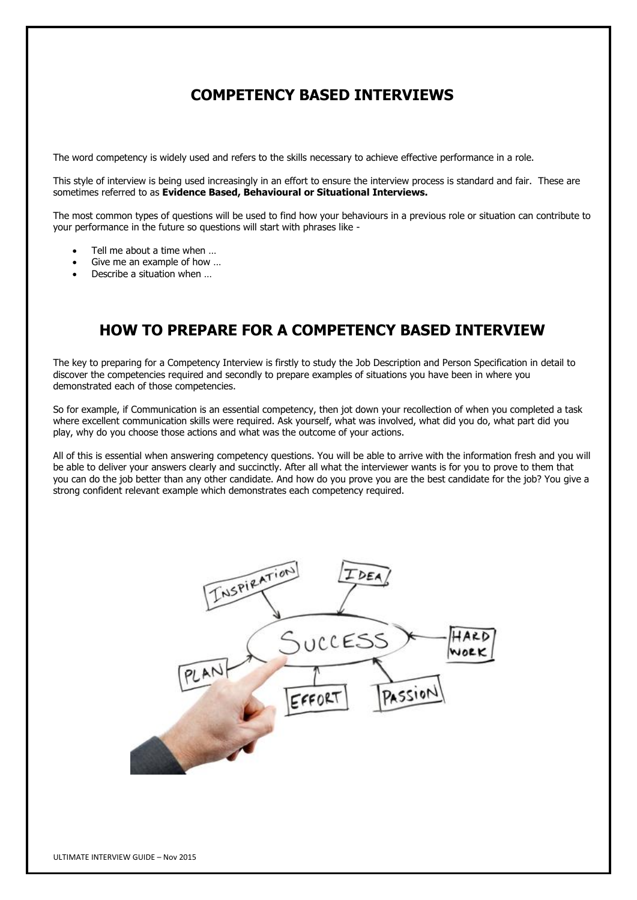### **COMPETENCY BASED INTERVIEWS**

The word competency is widely used and refers to the skills necessary to achieve effective performance in a role.

This style of interview is being used increasingly in an effort to ensure the interview process is standard and fair. These are sometimes referred to as **Evidence Based, Behavioural or Situational Interviews.**

The most common types of questions will be used to find how your behaviours in a previous role or situation can contribute to your performance in the future so questions will start with phrases like -

- Tell me about a time when …
- Give me an example of how …
- Describe a situation when …

## **HOW TO PREPARE FOR A COMPETENCY BASED INTERVIEW**

The key to preparing for a Competency Interview is firstly to study the Job Description and Person Specification in detail to discover the competencies required and secondly to prepare examples of situations you have been in where you demonstrated each of those competencies.

So for example, if Communication is an essential competency, then jot down your recollection of when you completed a task where excellent communication skills were required. Ask yourself, what was involved, what did you do, what part did you play, why do you choose those actions and what was the outcome of your actions.

All of this is essential when answering competency questions. You will be able to arrive with the information fresh and you will be able to deliver your answers clearly and succinctly. After all what the interviewer wants is for you to prove to them that you can do the job better than any other candidate. And how do you prove you are the best candidate for the job? You give a strong confident relevant example which demonstrates each competency required.

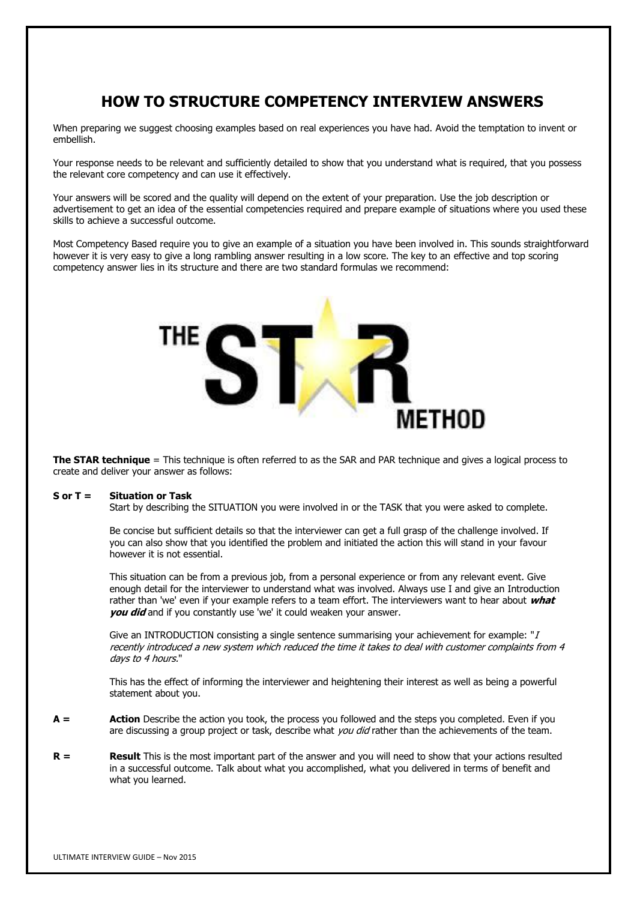## **HOW TO STRUCTURE COMPETENCY INTERVIEW ANSWERS**

When preparing we suggest choosing examples based on real experiences you have had. Avoid the temptation to invent or embellish.

Your response needs to be relevant and sufficiently detailed to show that you understand what is required, that you possess the relevant core competency and can use it effectively.

Your answers will be scored and the quality will depend on the extent of your preparation. Use the job description or advertisement to get an idea of the essential competencies required and prepare example of situations where you used these skills to achieve a successful outcome.

Most Competency Based require you to give an example of a situation you have been involved in. This sounds straightforward however it is very easy to give a long rambling answer resulting in a low score. The key to an effective and top scoring competency answer lies in its structure and there are two standard formulas we recommend:



**The STAR technique** = This technique is often referred to as the SAR and PAR technique and gives a logical process to create and deliver your answer as follows:

### **S or T = Situation or Task**

Start by describing the SITUATION you were involved in or the TASK that you were asked to complete.

Be concise but sufficient details so that the interviewer can get a full grasp of the challenge involved. If you can also show that you identified the problem and initiated the action this will stand in your favour however it is not essential.

This situation can be from a previous job, from a personal experience or from any relevant event. Give enough detail for the interviewer to understand what was involved. Always use I and give an Introduction rather than 'we' even if your example refers to a team effort. The interviewers want to hear about **what you did** and if you constantly use 'we' it could weaken your answer.

Give an INTRODUCTION consisting a single sentence summarising your achievement for example: " $I$ recently introduced a new system which reduced the time it takes to deal with customer complaints from 4 days to 4 hours."

This has the effect of informing the interviewer and heightening their interest as well as being a powerful statement about you.

- **A = Action** Describe the action you took, the process you followed and the steps you completed. Even if you are discussing a group project or task, describe what you did rather than the achievements of the team.
- **R = Result** This is the most important part of the answer and you will need to show that your actions resulted in a successful outcome. Talk about what you accomplished, what you delivered in terms of benefit and what you learned.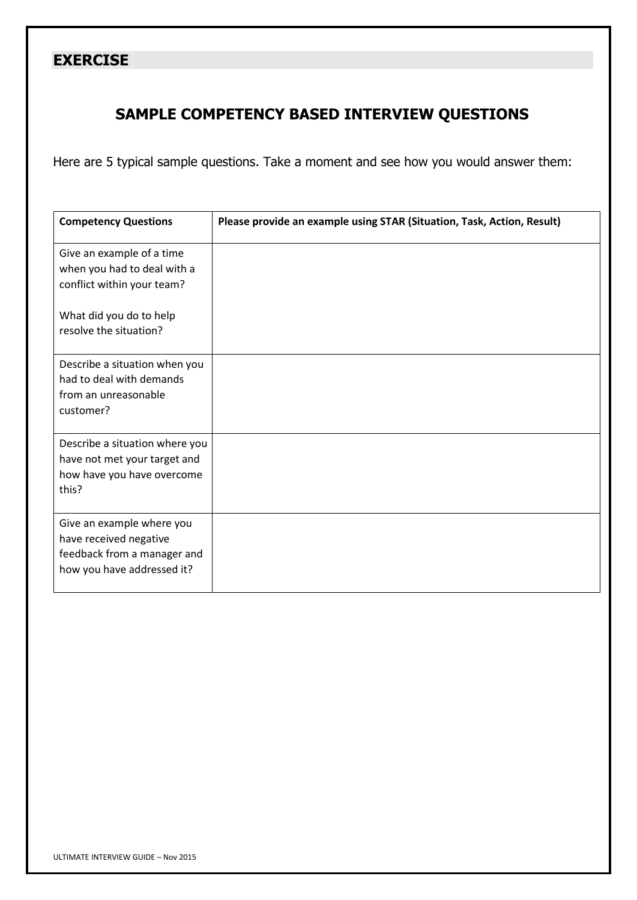### **EXERCISE**

## **SAMPLE COMPETENCY BASED INTERVIEW QUESTIONS**

Here are 5 typical sample questions. Take a moment and see how you would answer them:

| <b>Competency Questions</b>                                                                                                                 | Please provide an example using STAR (Situation, Task, Action, Result) |
|---------------------------------------------------------------------------------------------------------------------------------------------|------------------------------------------------------------------------|
| Give an example of a time<br>when you had to deal with a<br>conflict within your team?<br>What did you do to help<br>resolve the situation? |                                                                        |
| Describe a situation when you<br>had to deal with demands<br>from an unreasonable<br>customer?                                              |                                                                        |
| Describe a situation where you<br>have not met your target and<br>how have you have overcome<br>this?                                       |                                                                        |
| Give an example where you<br>have received negative<br>feedback from a manager and<br>how you have addressed it?                            |                                                                        |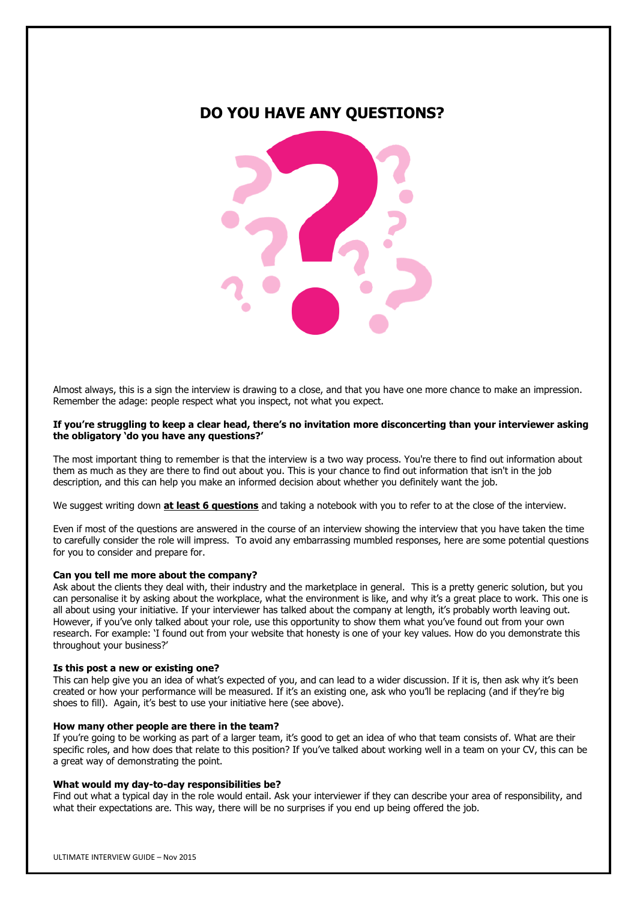### **DO YOU HAVE ANY QUESTIONS?**



Almost always, this is a sign the interview is drawing to a close, and that you have one more chance to make an impression. Remember the adage: people respect what you inspect, not what you expect.

### **If you're struggling to keep a clear head, there's no invitation more disconcerting than your interviewer asking the obligatory 'do you have any questions?'**

The most important thing to remember is that the interview is a two way process. You're there to find out information about them as much as they are there to find out about you. This is your chance to find out information that isn't in the job description, and this can help you make an informed decision about whether you definitely want the job.

We suggest writing down **at least 6 questions** and taking a notebook with you to refer to at the close of the interview.

Even if most of the questions are answered in the course of an interview showing the interview that you have taken the time to carefully consider the role will impress. To avoid any embarrassing mumbled responses, here are some potential questions for you to consider and prepare for.

### **Can you tell me more about the company?**

Ask about the clients they deal with, their industry and the marketplace in general. This is a pretty generic solution, but you can personalise it by asking about the workplace, what the environment is like, and why it's a great place to work. This one is all about using your initiative. If your interviewer has talked about the company at length, it's probably worth leaving out. However, if you've only talked about your role, use this opportunity to show them what you've found out from your own research. For example: 'I found out from your website that honesty is one of your key values. How do you demonstrate this throughout your business?'

### **Is this post a new or existing one?**

This can help give you an idea of what's expected of you, and can lead to a wider discussion. If it is, then ask why it's been created or how your performance will be measured. If it's an existing one, ask who you'll be replacing (and if they're big shoes to fill). Again, it's best to use your initiative here (see above).

### **How many other people are there in the team?**

If you're going to be working as part of a larger team, it's good to get an idea of who that team consists of. What are their specific roles, and how does that relate to this position? If you've talked about working well in a team on your CV, this can be a great way of demonstrating the point.

### **What would my day-to-day responsibilities be?**

Find out what a typical day in the role would entail. Ask your interviewer if they can describe your area of responsibility, and what their expectations are. This way, there will be no surprises if you end up being offered the job.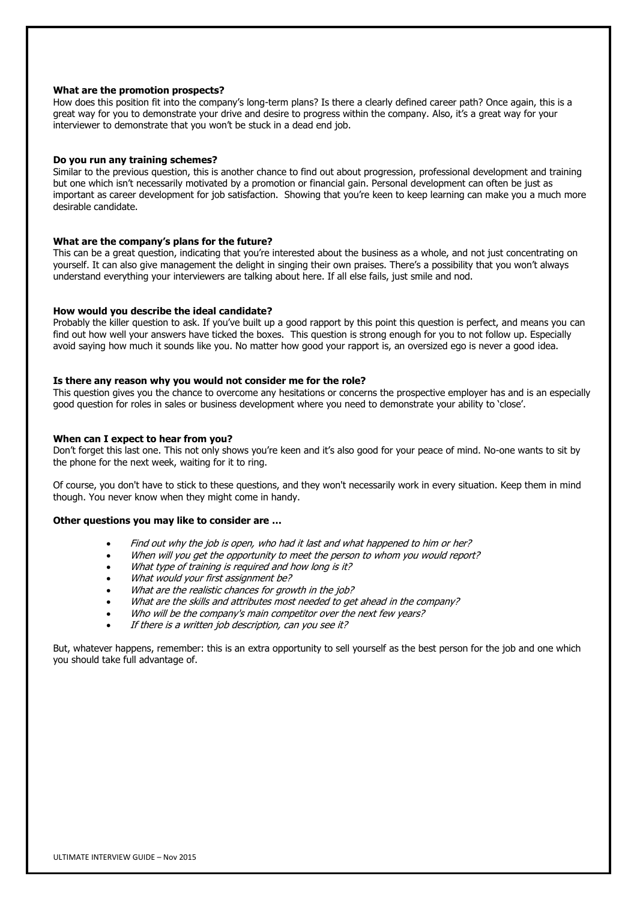### **What are the promotion prospects?**

How does this position fit into the company's long-term plans? Is there a clearly defined career path? Once again, this is a great way for you to demonstrate your drive and desire to progress within the company. Also, it's a great way for your interviewer to demonstrate that you won't be stuck in a dead end job.

### **Do you run any training schemes?**

Similar to the previous question, this is another chance to find out about progression, professional development and training but one which isn't necessarily motivated by a promotion or financial gain. Personal development can often be just as important as [career development](http://www.reed.co.uk/career-advice/topics/career-development) for job satisfaction. Showing that you're keen to keep learning can make you a much more desirable candidate.

#### **What are the company's plans for the future?**

This can be a great question, indicating that you're interested about the business as a whole, and not just concentrating on yourself. It can also give management the delight in singing their own praises. There's a possibility that you won't always understand everything your interviewers are talking about here. If all else fails, just smile and nod.

### **How would you describe the ideal candidate?**

Probably the killer question to ask. If you've built up a good rapport by this point this question is perfect, and means you can find out how well your answers have ticked the boxes. This question is strong enough for you to not follow up. Especially avoid saying how much it sounds like you. No matter how good your rapport is, an oversized ego is never a good idea.

### **Is there any reason why you would not consider me for the role?**

This question gives you the chance to overcome any hesitations or concerns the prospective employer has and is an especially good question for roles in sales or business development where you need to demonstrate your ability to 'close'.

#### **When can I expect to hear from you?**

Don't forget this last one. This not only shows you're keen and it's also good for your peace of mind. No-one wants to sit by the phone for the next week, waiting for it to ring.

Of course, you don't have to stick to these questions, and they won't necessarily work in every situation. Keep them in mind though. You never know when they might come in handy.

#### **Other questions you may like to consider are …**

- Find out why the job is open, who had it last and what happened to him or her?
- When will you get the opportunity to meet the person to whom you would report?
- What type of training is required and how long is it?
- What would your first assignment be?
- What are the realistic chances for growth in the job?
- What are the skills and attributes most needed to get ahead in the company?
- Who will be the company's main competitor over the next few years?
- If there is a written job description, can you see it?

But, whatever happens, remember: this is an extra opportunity to sell yourself as the best person for the job and one which you should take full advantage of.